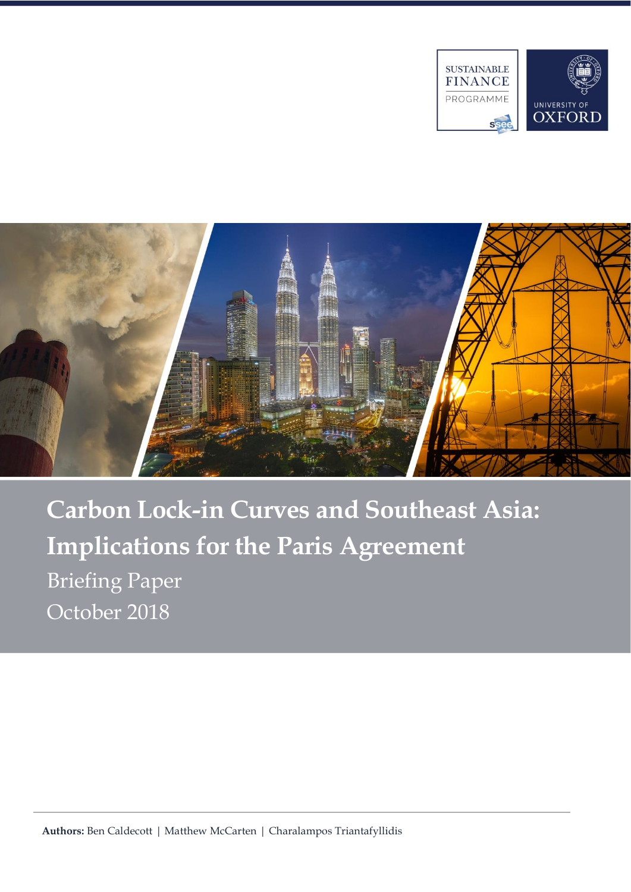



**Carbon Lock-in Curves and Southeast Asia: Implications for the Paris Agreement**  Briefing Paper October 2018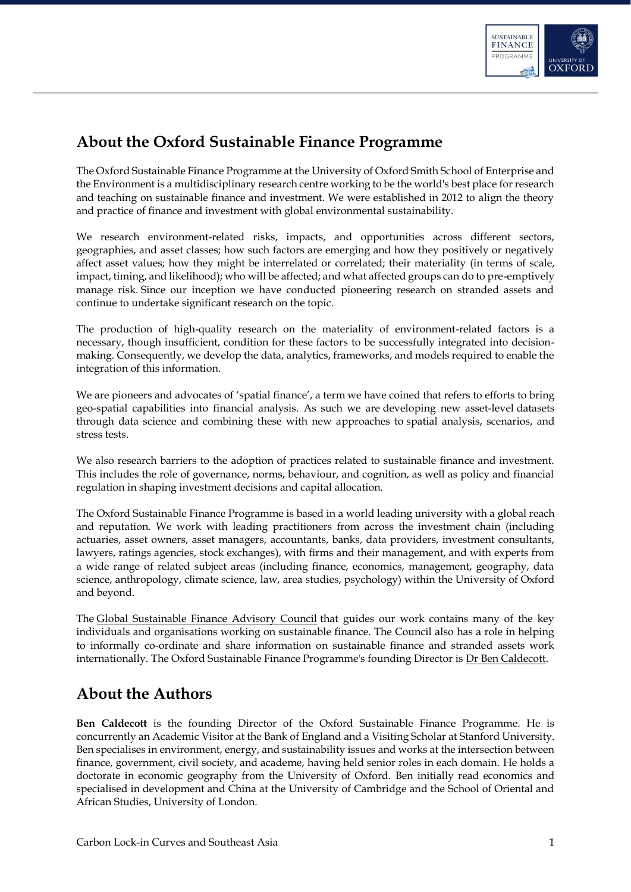

## <span id="page-1-0"></span>**About the Oxford Sustainable Finance Programme**

The Oxford Sustainable Finance Programme at the University of Oxford Smith School of Enterprise and the Environment is a multidisciplinary research centre working to be the world's best place for research and teaching on sustainable finance and investment. We were established in 2012 to align the theory and practice of finance and investment with global environmental sustainability.

We research environment-related risks, impacts, and opportunities across different sectors, geographies, and asset classes; how such factors are emerging and how they positively or negatively affect asset values; how they might be interrelated or correlated; their materiality (in terms of scale, impact, timing, and likelihood); who will be affected; and what affected groups can do to pre-emptively manage risk. Since our inception we have conducted pioneering research on stranded assets and continue to undertake significant research on the topic.

The production of high-quality research on the materiality of environment-related factors is a necessary, though insufficient, condition for these factors to be successfully integrated into decisionmaking. Consequently, we develop the data, analytics, frameworks, and models required to enable the integration of this information.

We are pioneers and advocates of 'spatial finance', a term we have coined that refers to efforts to bring geo-spatial capabilities into financial analysis. As such we are developing new asset-level datasets through data science and combining these with new approaches to spatial analysis, scenarios, and stress tests.

We also research barriers to the adoption of practices related to sustainable finance and investment. This includes the role of governance, norms, behaviour, and cognition, as well as policy and financial regulation in shaping investment decisions and capital allocation.

The Oxford Sustainable Finance Programme is based in a world leading university with a global reach and reputation. We work with leading practitioners from across the investment chain (including actuaries, asset owners, asset managers, accountants, banks, data providers, investment consultants, lawyers, ratings agencies, stock exchanges), with firms and their management, and with experts from a wide range of related subject areas (including finance, economics, management, geography, data science, anthropology, climate science, law, area studies, psychology) within the University of Oxford and beyond.

The [Global Sustainable Finance Advisory Council](https://www.smithschool.ox.ac.uk/research/sustainable-finance/global-advisory-council.html) that guides our work contains many of the key individuals and organisations working on sustainable finance. The Council also has a role in helping to informally co-ordinate and share information on sustainable finance and stranded assets work internationally. The Oxford Sustainable Finance Programme's founding Director is [Dr Ben Caldecott.](https://www.smithschool.ox.ac.uk/people/bcaldecott.html)

## <span id="page-1-1"></span>**About the Authors**

**Ben Caldecott** is the founding Director of the Oxford Sustainable Finance Programme. He is concurrently an Academic Visitor at the Bank of England and a Visiting Scholar at Stanford University. Ben specialises in environment, energy, and sustainability issues and works at the intersection between finance, government, civil society, and academe, having held senior roles in each domain. He holds a doctorate in economic geography from the University of Oxford. Ben initially read economics and specialised in development and China at the University of Cambridge and the School of Oriental and African Studies, University of London.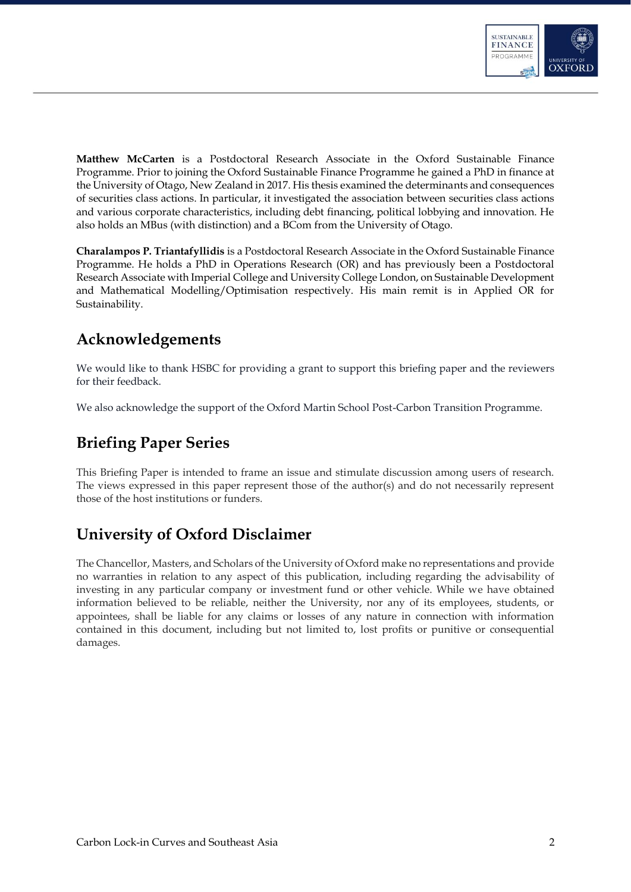

**Matthew McCarten** is a Postdoctoral Research Associate in the Oxford Sustainable Finance Programme. Prior to joining the Oxford Sustainable Finance Programme he gained a PhD in finance at the University of Otago, New Zealand in 2017. His thesis examined the determinants and consequences of securities class actions. In particular, it investigated the association between securities class actions and various corporate characteristics, including debt financing, political lobbying and innovation. He also holds an MBus (with distinction) and a BCom from the University of Otago.

**Charalampos P. Triantafyllidis** is a Postdoctoral Research Associate in the Oxford Sustainable Finance Programme. He holds a PhD in Operations Research (OR) and has previously been a Postdoctoral Research Associate with Imperial College and University College London, on Sustainable Development and Mathematical Modelling/Optimisation respectively. His main remit is in Applied OR for Sustainability.

## <span id="page-2-0"></span>**Acknowledgements**

We would like to thank HSBC for providing a grant to support this briefing paper and the reviewers for their feedback.

We also acknowledge the support of the Oxford Martin School Post-Carbon Transition Programme.

# <span id="page-2-1"></span>**Briefing Paper Series**

This Briefing Paper is intended to frame an issue and stimulate discussion among users of research. The views expressed in this paper represent those of the author(s) and do not necessarily represent those of the host institutions or funders.

## <span id="page-2-2"></span>**University of Oxford Disclaimer**

The Chancellor, Masters, and Scholars of the University of Oxford make no representations and provide no warranties in relation to any aspect of this publication, including regarding the advisability of investing in any particular company or investment fund or other vehicle. While we have obtained information believed to be reliable, neither the University, nor any of its employees, students, or appointees, shall be liable for any claims or losses of any nature in connection with information contained in this document, including but not limited to, lost profits or punitive or consequential damages.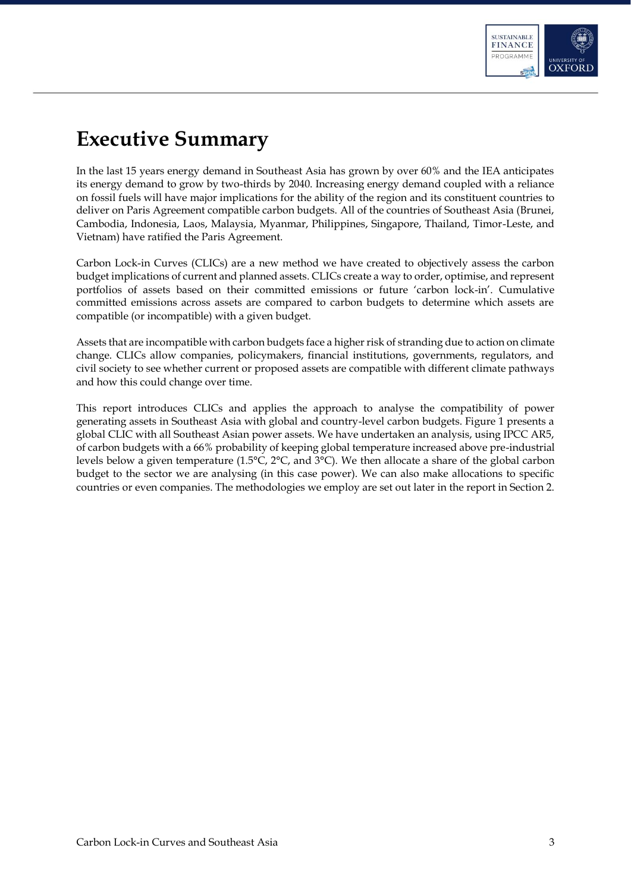

# <span id="page-3-0"></span>**Executive Summary**

In the last 15 years energy demand in Southeast Asia has grown by over 60% and the IEA anticipates its energy demand to grow by two-thirds by 2040. Increasing energy demand coupled with a reliance on fossil fuels will have major implications for the ability of the region and its constituent countries to deliver on Paris Agreement compatible carbon budgets. All of the countries of Southeast Asia (Brunei, Cambodia, Indonesia, Laos, Malaysia, Myanmar, Philippines, Singapore, Thailand, Timor-Leste, and Vietnam) have ratified the Paris Agreement.

Carbon Lock-in Curves (CLICs) are a new method we have created to objectively assess the carbon budget implications of current and planned assets. CLICs create a way to order, optimise, and represent portfolios of assets based on their committed emissions or future 'carbon lock-in'. Cumulative committed emissions across assets are compared to carbon budgets to determine which assets are compatible (or incompatible) with a given budget.

Assets that are incompatible with carbon budgets face a higher risk of stranding due to action on climate change. CLICs allow companies, policymakers, financial institutions, governments, regulators, and civil society to see whether current or proposed assets are compatible with different climate pathways and how this could change over time.

This report introduces CLICs and applies the approach to analyse the compatibility of power generating assets in Southeast Asia with global and country-level carbon budgets. Figure 1 presents a global CLIC with all Southeast Asian power assets. We have undertaken an analysis, using IPCC AR5, of carbon budgets with a 66% probability of keeping global temperature increased above pre-industrial levels below a given temperature (1.5°C, 2°C, and 3°C). We then allocate a share of the global carbon budget to the sector we are analysing (in this case power). We can also make allocations to specific countries or even companies. The methodologies we employ are set out later in the report in Section 2.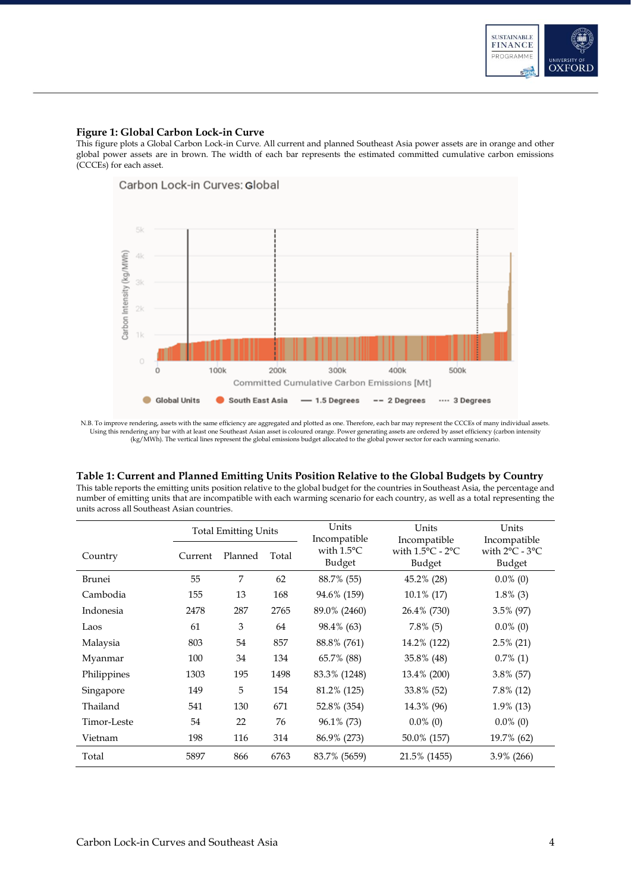

#### **Figure 1: Global Carbon Lock-in Curve**

This figure plots a Global Carbon Lock-in Curve. All current and planned Southeast Asia power assets are in orange and other global power assets are in brown. The width of each bar represents the estimated committed cumulative carbon emissions (CCCEs) for each asset.



N.B. To improve rendering, assets with the same efficiency are aggregated and plotted as one. Therefore, each bar may represent the CCCEs of many individual assets.<br>Using this rendering any bar with at least one Southeast (kg/MWh). The vertical lines represent the global emissions budget allocated to the global power sector for each warming scenario.

#### **Table 1: Current and Planned Emitting Units Position Relative to the Global Budgets by Country**

This table reports the emitting units position relative to the global budget for the countries in Southeast Asia, the percentage and number of emitting units that are incompatible with each warming scenario for each country, as well as a total representing the units across all Southeast Asian countries.

|               | <b>Total Emitting Units</b> |         |       | Units                                          | Units                                                          | Units                                                        |
|---------------|-----------------------------|---------|-------|------------------------------------------------|----------------------------------------------------------------|--------------------------------------------------------------|
| Country       | Current                     | Planned | Total | Incompatible<br>with $1.5^{\circ}$ C<br>Budget | Incompatible<br>with $1.5^{\circ}$ C - $2^{\circ}$ C<br>Budget | Incompatible<br>with $2^{\circ}$ C - $3^{\circ}$ C<br>Budget |
| <b>Brunei</b> | 55                          | 7       | 62    | 88.7% (55)                                     | 45.2% (28)                                                     | $0.0\%$ (0)                                                  |
| Cambodia      | 155                         | 13      | 168   | 94.6% (159)                                    | 10.1% (17)                                                     | $1.8\%$ (3)                                                  |
| Indonesia     | 2478                        | 287     | 2765  | 89.0% (2460)                                   | 26.4% (730)                                                    | 3.5% (97)                                                    |
| Laos          | 61                          | 3       | 64    | 98.4% (63)                                     | $7.8\%$ (5)                                                    | $0.0\%$ (0)                                                  |
| Malaysia      | 803                         | 54      | 857   | 88.8% (761)                                    | 14.2% (122)                                                    | $2.5\%$ (21)                                                 |
| Myanmar       | 100                         | 34      | 134   | 65.7% (88)                                     | 35.8% (48)                                                     | $0.7\%$ (1)                                                  |
| Philippines   | 1303                        | 195     | 1498  | 83.3% (1248)                                   | 13.4% (200)                                                    | 3.8% (57)                                                    |
| Singapore     | 149                         | 5       | 154   | 81.2% (125)                                    | 33.8% (52)                                                     | $7.8\%$ (12)                                                 |
| Thailand      | 541                         | 130     | 671   | 52.8% (354)                                    | 14.3% (96)                                                     | 1.9% (13)                                                    |
| Timor-Leste   | 54                          | 22      | 76    | 96.1% (73)                                     | $0.0\%$ (0)                                                    | $0.0\%$ (0)                                                  |
| Vietnam       | 198                         | 116     | 314   | 86.9% (273)                                    | 50.0% (157)                                                    | 19.7% (62)                                                   |
| Total         | 5897                        | 866     | 6763  | 83.7% (5659)                                   | 21.5% (1455)                                                   | 3.9% (266)                                                   |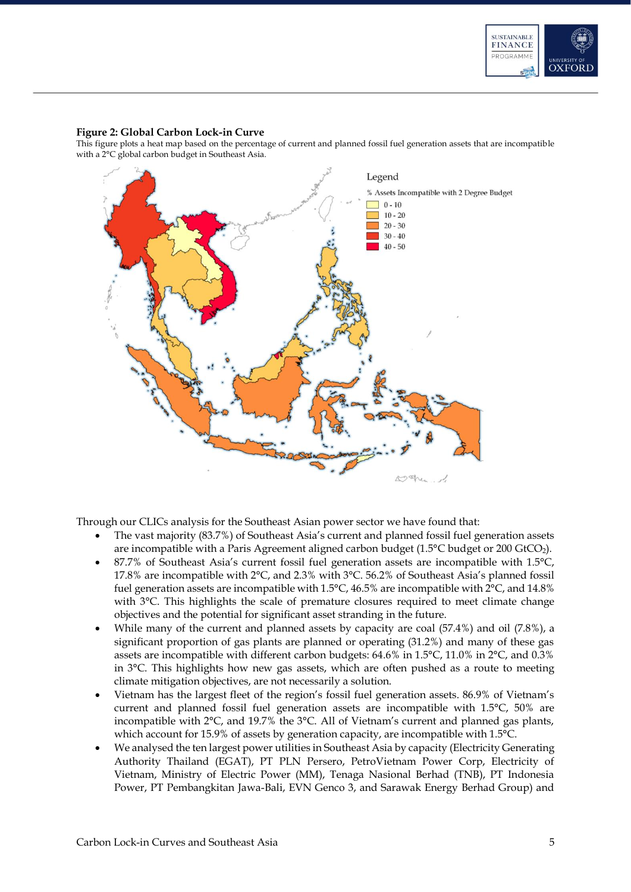

#### **Figure 2: Global Carbon Lock-in Curve**

This figure plots a heat map based on the percentage of current and planned fossil fuel generation assets that are incompatible with a 2°C global carbon budget in Southeast Asia.



Through our CLICs analysis for the Southeast Asian power sector we have found that:

- The vast majority (83.7%) of Southeast Asia's current and planned fossil fuel generation assets are incompatible with a Paris Agreement aligned carbon budget (1.5°C budget or 200 GtCO<sub>2</sub>).
- 87.7% of Southeast Asia's current fossil fuel generation assets are incompatible with 1.5°C, 17.8% are incompatible with 2°C, and 2.3% with 3°C. 56.2% of Southeast Asia's planned fossil fuel generation assets are incompatible with 1.5°C, 46.5% are incompatible with 2°C, and 14.8% with  $3^{\circ}$ C. This highlights the scale of premature closures required to meet climate change objectives and the potential for significant asset stranding in the future.
- While many of the current and planned assets by capacity are coal  $(57.4%)$  and oil  $(7.8%)$ , a significant proportion of gas plants are planned or operating (31.2%) and many of these gas assets are incompatible with different carbon budgets: 64.6% in 1.5°C, 11.0% in 2°C, and 0.3% in 3°C. This highlights how new gas assets, which are often pushed as a route to meeting climate mitigation objectives, are not necessarily a solution.
- Vietnam has the largest fleet of the region's fossil fuel generation assets. 86.9% of Vietnam's current and planned fossil fuel generation assets are incompatible with 1.5°C, 50% are incompatible with 2°C, and 19.7% the 3°C. All of Vietnam's current and planned gas plants, which account for 15.9% of assets by generation capacity, are incompatible with 1.5°C.
- We analysed the ten largest power utilities in Southeast Asia by capacity (Electricity Generating Authority Thailand (EGAT), PT PLN Persero, PetroVietnam Power Corp, Electricity of Vietnam, Ministry of Electric Power (MM), Tenaga Nasional Berhad (TNB), PT Indonesia Power, PT Pembangkitan Jawa-Bali, EVN Genco 3, and Sarawak Energy Berhad Group) and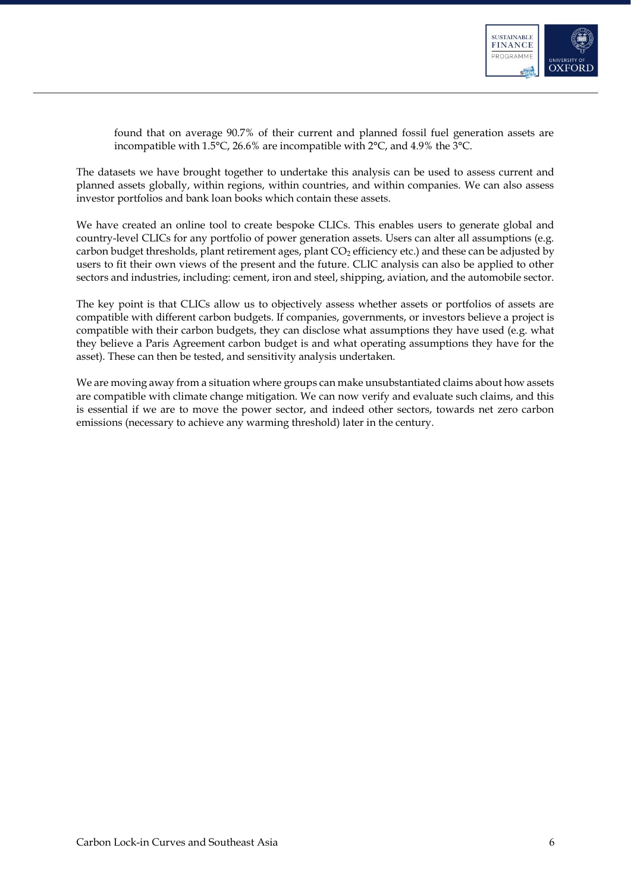

found that on average 90.7% of their current and planned fossil fuel generation assets are incompatible with 1.5°C, 26.6% are incompatible with 2°C, and 4.9% the 3°C.

The datasets we have brought together to undertake this analysis can be used to assess current and planned assets globally, within regions, within countries, and within companies. We can also assess investor portfolios and bank loan books which contain these assets.

We have created an online tool to create bespoke CLICs. This enables users to generate global and country-level CLICs for any portfolio of power generation assets. Users can alter all assumptions (e.g. carbon budget thresholds, plant retirement ages, plant CO<sub>2</sub> efficiency etc.) and these can be adjusted by users to fit their own views of the present and the future. CLIC analysis can also be applied to other sectors and industries, including: cement, iron and steel, shipping, aviation, and the automobile sector.

The key point is that CLICs allow us to objectively assess whether assets or portfolios of assets are compatible with different carbon budgets. If companies, governments, or investors believe a project is compatible with their carbon budgets, they can disclose what assumptions they have used (e.g. what they believe a Paris Agreement carbon budget is and what operating assumptions they have for the asset). These can then be tested, and sensitivity analysis undertaken.

We are moving away from a situation where groups can make unsubstantiated claims about how assets are compatible with climate change mitigation. We can now verify and evaluate such claims, and this is essential if we are to move the power sector, and indeed other sectors, towards net zero carbon emissions (necessary to achieve any warming threshold) later in the century.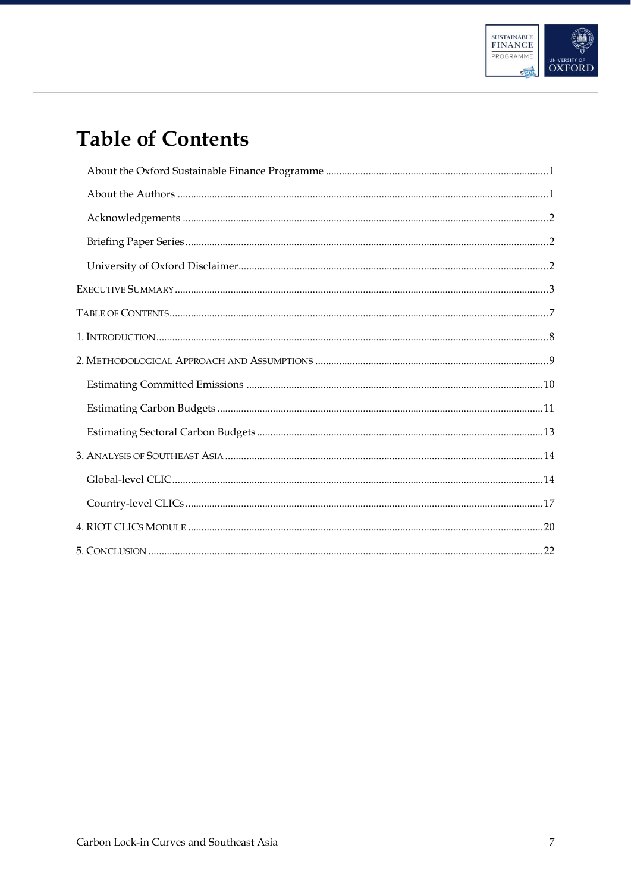

# <span id="page-7-0"></span>**Table of Contents**

| $1. INTRODUCTION 1.111 1.121 1.131 1.141 1.151 1.151 1.151 1.151 1.151 1.151 1.151 1.151 1.151 1.151 1.151 1.151 1.151 1.151 1.151 1.151 1.151 1.151 1.151 1.151 1.151 1.151 1.151 1.151 1.151 1.151 1.151 1.151 1.151 1.151 1.151 1.151$ |  |
|-------------------------------------------------------------------------------------------------------------------------------------------------------------------------------------------------------------------------------------------|--|
|                                                                                                                                                                                                                                           |  |
|                                                                                                                                                                                                                                           |  |
|                                                                                                                                                                                                                                           |  |
|                                                                                                                                                                                                                                           |  |
|                                                                                                                                                                                                                                           |  |
|                                                                                                                                                                                                                                           |  |
|                                                                                                                                                                                                                                           |  |
|                                                                                                                                                                                                                                           |  |
|                                                                                                                                                                                                                                           |  |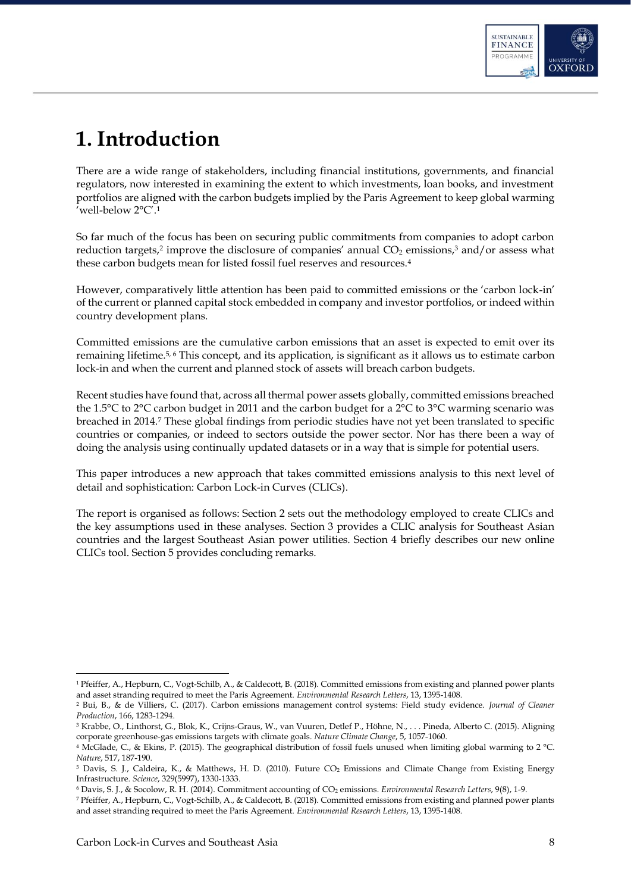

# <span id="page-8-0"></span>**1. Introduction**

There are a wide range of stakeholders, including financial institutions, governments, and financial regulators, now interested in examining the extent to which investments, loan books, and investment portfolios are aligned with the carbon budgets implied by the Paris Agreement to keep global warming 'well-below 2°C'.<sup>1</sup>

So far much of the focus has been on securing public commitments from companies to adopt carbon reduction targets,<sup>2</sup> improve the disclosure of companies' annual  $CO<sub>2</sub>$  emissions,<sup>3</sup> and/or assess what these carbon budgets mean for listed fossil fuel reserves and resources.<sup>4</sup>

However, comparatively little attention has been paid to committed emissions or the 'carbon lock-in' of the current or planned capital stock embedded in company and investor portfolios, or indeed within country development plans.

Committed emissions are the cumulative carbon emissions that an asset is expected to emit over its remaining lifetime.5, 6 This concept, and its application, is significant as it allows us to estimate carbon lock-in and when the current and planned stock of assets will breach carbon budgets.

Recent studies have found that, across all thermal power assets globally, committed emissions breached the 1.5°C to 2°C carbon budget in 2011 and the carbon budget for a 2°C to 3°C warming scenario was breached in 2014.<sup>7</sup> These global findings from periodic studies have not yet been translated to specific countries or companies, or indeed to sectors outside the power sector. Nor has there been a way of doing the analysis using continually updated datasets or in a way that is simple for potential users.

This paper introduces a new approach that takes committed emissions analysis to this next level of detail and sophistication: Carbon Lock-in Curves (CLICs).

The report is organised as follows: Section 2 sets out the methodology employed to create CLICs and the key assumptions used in these analyses. Section 3 provides a CLIC analysis for Southeast Asian countries and the largest Southeast Asian power utilities. Section 4 briefly describes our new online CLICs tool. Section 5 provides concluding remarks.

-

<sup>1</sup> Pfeiffer, A., Hepburn, C., Vogt-Schilb, A., & Caldecott, B. (2018). Committed emissions from existing and planned power plants and asset stranding required to meet the Paris Agreement. *Environmental Research Letters*, 13, 1395-1408.

<sup>2</sup> Bui, B., & de Villiers, C. (2017). Carbon emissions management control systems: Field study evidence. *Journal of Cleaner Production*, 166, 1283-1294.

<sup>3</sup> Krabbe, O., Linthorst, G., Blok, K., Crijns-Graus, W., van Vuuren, Detlef P., Höhne, N., . . . Pineda, Alberto C. (2015). Aligning corporate greenhouse-gas emissions targets with climate goals. *Nature Climate Change*, 5, 1057-1060.

<sup>4</sup> McGlade, C., & Ekins, P. (2015). The geographical distribution of fossil fuels unused when limiting global warming to 2 °C. *Nature*, 517, 187-190.

<sup>&</sup>lt;sup>5</sup> Davis, S. J., Caldeira, K., & Matthews, H. D. (2010). Future CO<sub>2</sub> Emissions and Climate Change from Existing Energy Infrastructure. *Science*, 329(5997), 1330-1333.

<sup>6</sup> Davis, S. J., & Socolow, R. H. (2014). Commitment accounting of CO<sup>2</sup> emissions. *Environmental Research Letters*, 9(8), 1-9.

<sup>7</sup> Pfeiffer, A., Hepburn, C., Vogt-Schilb, A., & Caldecott, B. (2018). Committed emissions from existing and planned power plants and asset stranding required to meet the Paris Agreement. *Environmental Research Letters*, 13, 1395-1408.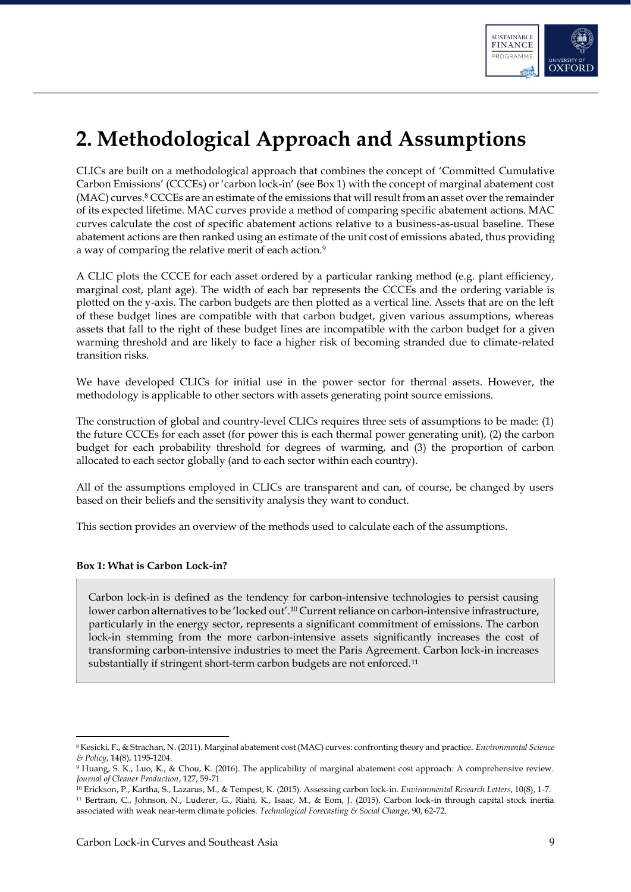

# <span id="page-9-0"></span>**2. Methodological Approach and Assumptions**

CLICs are built on a methodological approach that combines the concept of 'Committed Cumulative Carbon Emissions' (CCCEs) or 'carbon lock-in' (see Box 1) with the concept of marginal abatement cost (MAC) curves.<sup>8</sup> CCCEs are an estimate of the emissions that will result from an asset over the remainder of its expected lifetime. MAC curves provide a method of comparing specific abatement actions. MAC curves calculate the cost of specific abatement actions relative to a business-as-usual baseline. These abatement actions are then ranked using an estimate of the unit cost of emissions abated, thus providing a way of comparing the relative merit of each action.<sup>9</sup>

A CLIC plots the CCCE for each asset ordered by a particular ranking method (e.g. plant efficiency, marginal cost, plant age). The width of each bar represents the CCCEs and the ordering variable is plotted on the y-axis. The carbon budgets are then plotted as a vertical line. Assets that are on the left of these budget lines are compatible with that carbon budget, given various assumptions, whereas assets that fall to the right of these budget lines are incompatible with the carbon budget for a given warming threshold and are likely to face a higher risk of becoming stranded due to climate-related transition risks.

We have developed CLICs for initial use in the power sector for thermal assets. However, the methodology is applicable to other sectors with assets generating point source emissions.

The construction of global and country-level CLICs requires three sets of assumptions to be made: (1) the future CCCEs for each asset (for power this is each thermal power generating unit), (2) the carbon budget for each probability threshold for degrees of warming, and (3) the proportion of carbon allocated to each sector globally (and to each sector within each country).

All of the assumptions employed in CLICs are transparent and can, of course, be changed by users based on their beliefs and the sensitivity analysis they want to conduct.

This section provides an overview of the methods used to calculate each of the assumptions.

### **Box 1: What is Carbon Lock-in?**

-

Carbon lock-in is defined as the tendency for carbon-intensive technologies to persist causing lower carbon alternatives to be 'locked out'.<sup>10</sup> Current reliance on carbon-intensive infrastructure, particularly in the energy sector, represents a significant commitment of emissions. The carbon lock-in stemming from the more carbon-intensive assets significantly increases the cost of transforming carbon-intensive industries to meet the Paris Agreement. Carbon lock-in increases substantially if stringent short-term carbon budgets are not enforced.<sup>11</sup>

<sup>8</sup> Kesicki, F., & Strachan, N. (2011). Marginal abatement cost (MAC) curves: confronting theory and practice. *Environmental Science & Policy*, 14(8), 1195-1204.

<sup>9</sup> Huang, S. K., Luo, K., & Chou, K. (2016). The applicability of marginal abatement cost approach: A comprehensive review. *Journal of Cleaner Production*, 127, 59-71.

<sup>10</sup> Erickson, P., Kartha, S., Lazarus, M., & Tempest, K. (2015). Assessing carbon lock-in. *Environmental Research Letters*, 10(8), 1-7. <sup>11</sup> Bertram, C., Johnson, N., Luderer, G., Riahi, K., Isaac, M., & Eom, J. (2015). Carbon lock-in through capital stock inertia associated with weak near-term climate policies. *Technological Forecasting & Social Change*, 90, 62-72.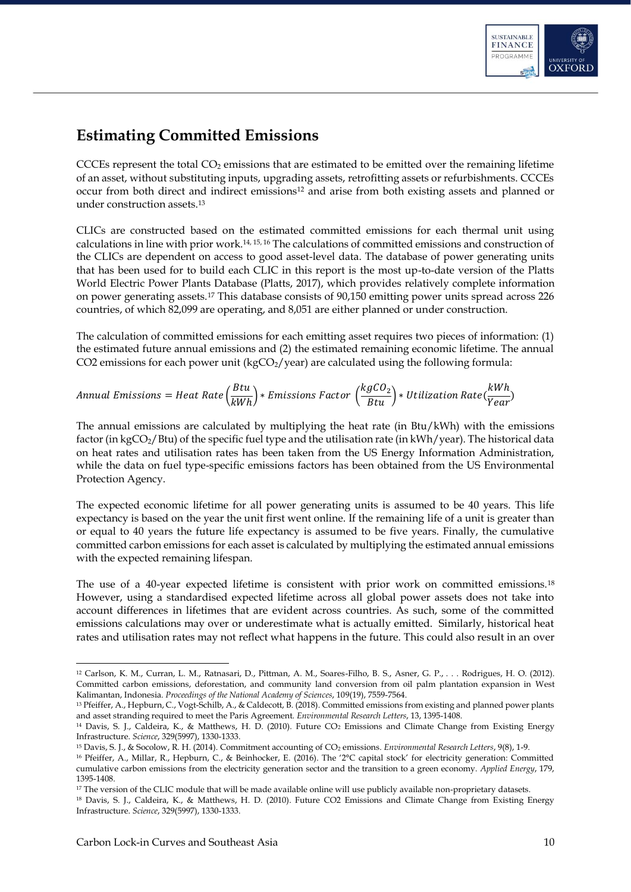

## <span id="page-10-0"></span>**Estimating Committed Emissions**

CCCEs represent the total  $CO<sub>2</sub>$  emissions that are estimated to be emitted over the remaining lifetime of an asset, without substituting inputs, upgrading assets, retrofitting assets or refurbishments. CCCEs occur from both direct and indirect emissions<sup>12</sup> and arise from both existing assets and planned or under construction assets.<sup>13</sup>

CLICs are constructed based on the estimated committed emissions for each thermal unit using calculations in line with prior work.14, 15, 16 The calculations of committed emissions and construction of the CLICs are dependent on access to good asset-level data. The database of power generating units that has been used for to build each CLIC in this report is the most up-to-date version of the Platts World Electric Power Plants Database (Platts, 2017), which provides relatively complete information on power generating assets.<sup>17</sup> This database consists of 90,150 emitting power units spread across 226 countries, of which 82,099 are operating, and 8,051 are either planned or under construction.

The calculation of committed emissions for each emitting asset requires two pieces of information: (1) the estimated future annual emissions and (2) the estimated remaining economic lifetime. The annual CO2 emissions for each power unit ( $kgCO<sub>2</sub>/year$ ) are calculated using the following formula:

### Annual Emissions = Heat Rate  $\left(\frac{Btu}{\sqrt{2}}\right)$  $\left(\frac{B t u}{k W h}\right)*E$ missions Factor  $\left(\frac{k g C O_2}{B t u}\right)*U$ tilization Rate $\left(\frac{k W h}{Year}\right)$

The annual emissions are calculated by multiplying the heat rate (in Btu/kWh) with the emissions factor (in kgCO<sub>2</sub>/Btu) of the specific fuel type and the utilisation rate (in kWh/year). The historical data on heat rates and utilisation rates has been taken from the US Energy Information Administration, while the data on fuel type-specific emissions factors has been obtained from the US Environmental Protection Agency.

The expected economic lifetime for all power generating units is assumed to be 40 years. This life expectancy is based on the year the unit first went online. If the remaining life of a unit is greater than or equal to 40 years the future life expectancy is assumed to be five years. Finally, the cumulative committed carbon emissions for each asset is calculated by multiplying the estimated annual emissions with the expected remaining lifespan.

The use of a 40-year expected lifetime is consistent with prior work on committed emissions.<sup>18</sup> However, using a standardised expected lifetime across all global power assets does not take into account differences in lifetimes that are evident across countries. As such, some of the committed emissions calculations may over or underestimate what is actually emitted. Similarly, historical heat rates and utilisation rates may not reflect what happens in the future. This could also result in an over

<sup>12</sup> Carlson, K. M., Curran, L. M., Ratnasari, D., Pittman, A. M., Soares-Filho, B. S., Asner, G. P., . . . Rodrigues, H. O. (2012). Committed carbon emissions, deforestation, and community land conversion from oil palm plantation expansion in West Kalimantan, Indonesia. *Proceedings of the National Academy of Sciences*, 109(19), 7559-7564.

<sup>13</sup> Pfeiffer, A., Hepburn, C., Vogt-Schilb, A., & Caldecott, B. (2018). Committed emissions from existing and planned power plants and asset stranding required to meet the Paris Agreement. *Environmental Research Letters*, 13, 1395-1408.

<sup>&</sup>lt;sup>14</sup> Davis, S. J., Caldeira, K., & Matthews, H. D. (2010). Future CO<sub>2</sub> Emissions and Climate Change from Existing Energy Infrastructure. *Science*, 329(5997), 1330-1333.

<sup>15</sup> Davis, S. J., & Socolow, R. H. (2014). Commitment accounting of CO<sup>2</sup> emissions. *Environmental Research Letters*, 9(8), 1-9.

<sup>16</sup> Pfeiffer, A., Millar, R., Hepburn, C., & Beinhocker, E. (2016). The '2°C capital stock' for electricity generation: Committed cumulative carbon emissions from the electricity generation sector and the transition to a green economy. *Applied Energy*, 179, 1395-1408.

<sup>&</sup>lt;sup>17</sup> The version of the CLIC module that will be made available online will use publicly available non-proprietary datasets.

<sup>18</sup> Davis, S. J., Caldeira, K., & Matthews, H. D. (2010). Future CO2 Emissions and Climate Change from Existing Energy Infrastructure. *Science*, 329(5997), 1330-1333.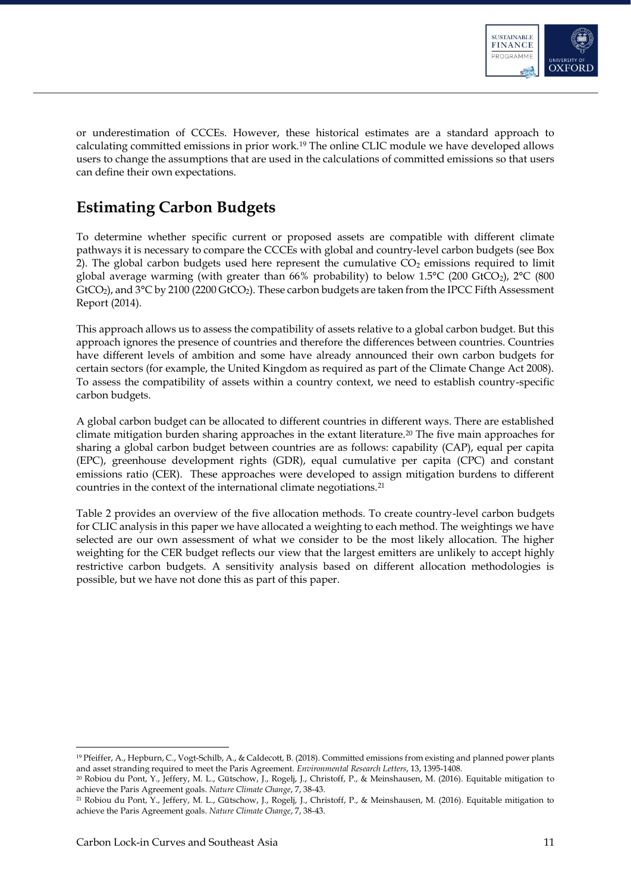

or underestimation of CCCEs. However, these historical estimates are a standard approach to calculating committed emissions in prior work.<sup>19</sup> The online CLIC module we have developed allows users to change the assumptions that are used in the calculations of committed emissions so that users can define their own expectations.

## <span id="page-11-0"></span>**Estimating Carbon Budgets**

To determine whether specific current or proposed assets are compatible with different climate pathways it is necessary to compare the CCCEs with global and country-level carbon budgets (see Box 2). The global carbon budgets used here represent the cumulative  $CO<sub>2</sub>$  emissions required to limit global average warming (with greater than 66% probability) to below 1.5°C (200 GtCO2), 2°C (800 GtCO<sub>2</sub>), and 3°C by 2100 (2200 GtCO<sub>2</sub>). These carbon budgets are taken from the IPCC Fifth Assessment Report (2014).

This approach allows us to assess the compatibility of assets relative to a global carbon budget. But this approach ignores the presence of countries and therefore the differences between countries. Countries have different levels of ambition and some have already announced their own carbon budgets for certain sectors (for example, the United Kingdom as required as part of the Climate Change Act 2008). To assess the compatibility of assets within a country context, we need to establish country-specific carbon budgets.

A global carbon budget can be allocated to different countries in different ways. There are established climate mitigation burden sharing approaches in the extant literature.<sup>20</sup> The five main approaches for sharing a global carbon budget between countries are as follows: capability (CAP), equal per capita (EPC), greenhouse development rights (GDR), equal cumulative per capita (CPC) and constant emissions ratio (CER). These approaches were developed to assign mitigation burdens to different countries in the context of the international climate negotiations.<sup>21</sup>

[Table 2](#page-12-0) provides an overview of the five allocation methods. To create country-level carbon budgets for CLIC analysis in this paper we have allocated a weighting to each method. The weightings we have selected are our own assessment of what we consider to be the most likely allocation. The higher weighting for the CER budget reflects our view that the largest emitters are unlikely to accept highly restrictive carbon budgets. A sensitivity analysis based on different allocation methodologies is possible, but we have not done this as part of this paper.

<sup>19</sup> Pfeiffer, A., Hepburn, C., Vogt-Schilb, A., & Caldecott, B. (2018). Committed emissions from existing and planned power plants and asset stranding required to meet the Paris Agreement. *Environmental Research Letters*, 13, 1395-1408.

<sup>20</sup> Robiou du Pont, Y., Jeffery, M. L., Gütschow, J., Rogelj, J., Christoff, P., & Meinshausen, M. (2016). Equitable mitigation to achieve the Paris Agreement goals. *Nature Climate Change*, 7, 38-43.

<sup>21</sup> Robiou du Pont, Y., Jeffery, M. L., Gütschow, J., Rogelj, J., Christoff, P., & Meinshausen, M. (2016). Equitable mitigation to achieve the Paris Agreement goals. *Nature Climate Change*, 7, 38-43.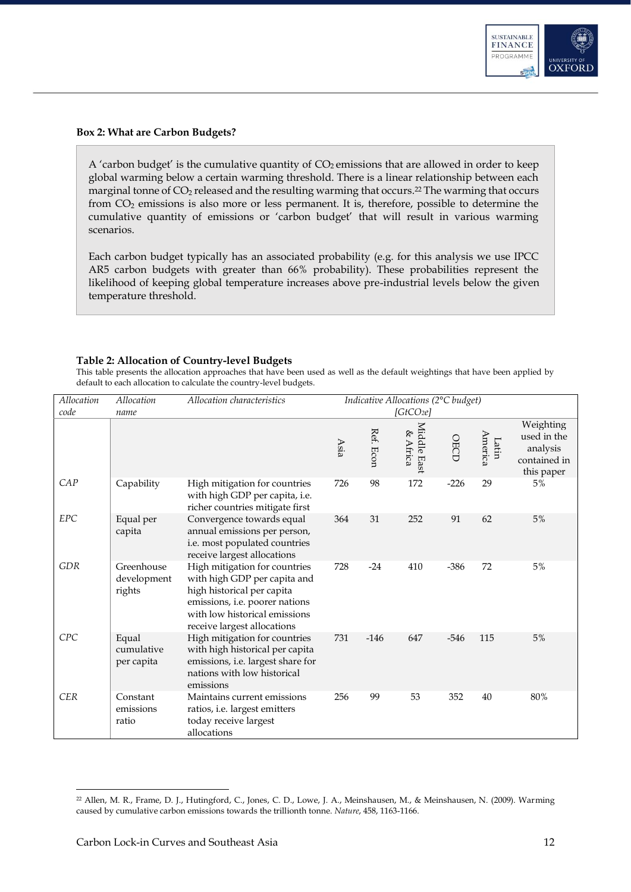

### **Box 2: What are Carbon Budgets?**

A 'carbon budget' is the cumulative quantity of  $CO<sub>2</sub>$  emissions that are allowed in order to keep global warming below a certain warming threshold. There is a linear relationship between each marginal tonne of  $CO<sub>2</sub>$  released and the resulting warming that occurs.<sup>22</sup> The warming that occurs from CO<sup>2</sup> emissions is also more or less permanent. It is, therefore, possible to determine the cumulative quantity of emissions or 'carbon budget' that will result in various warming scenarios.

Each carbon budget typically has an associated probability (e.g. for this analysis we use IPCC AR5 carbon budgets with greater than 66% probability). These probabilities represent the likelihood of keeping global temperature increases above pre-industrial levels below the given temperature threshold.

### <span id="page-12-0"></span>**Table 2: Allocation of Country-level Budgets**

This table presents the allocation approaches that have been used as well as the default weightings that have been applied by default to each allocation to calculate the country-level budgets.

| Allocation<br>code | Allocation<br>name                  | Allocation characteristics                                                                                                                                                                    | Indicative Allocations (2°C budget)<br>[GtCO <sub>2</sub> e] |           |                         |             |                  |                                                                    |
|--------------------|-------------------------------------|-----------------------------------------------------------------------------------------------------------------------------------------------------------------------------------------------|--------------------------------------------------------------|-----------|-------------------------|-------------|------------------|--------------------------------------------------------------------|
|                    |                                     |                                                                                                                                                                                               | Asia                                                         | Ref. Econ | Middle East<br>& Africa | <b>OECD</b> | America<br>Latin | Weighting<br>used in the<br>analysis<br>contained in<br>this paper |
| CAP                | Capability                          | High mitigation for countries<br>with high GDP per capita, i.e.<br>richer countries mitigate first                                                                                            | 726                                                          | 98        | 172                     | $-226$      | 29               | 5%                                                                 |
| <b>EPC</b>         | Equal per<br>capita                 | Convergence towards equal<br>annual emissions per person,<br>i.e. most populated countries<br>receive largest allocations                                                                     | 364                                                          | 31        | 252                     | 91          | 62               | 5%                                                                 |
| <b>GDR</b>         | Greenhouse<br>development<br>rights | High mitigation for countries<br>with high GDP per capita and<br>high historical per capita<br>emissions, i.e. poorer nations<br>with low historical emissions<br>receive largest allocations | 728                                                          | $-24$     | 410                     | $-386$      | 72               | 5%                                                                 |
| CPC                | Equal<br>cumulative<br>per capita   | High mitigation for countries<br>with high historical per capita<br>emissions, i.e. largest share for<br>nations with low historical<br>emissions                                             | 731                                                          | $-146$    | 647                     | $-546$      | 115              | 5%                                                                 |
| <b>CER</b>         | Constant<br>emissions<br>ratio      | Maintains current emissions<br>ratios, i.e. largest emitters<br>today receive largest<br>allocations                                                                                          | 256                                                          | 99        | 53                      | 352         | 40               | 80%                                                                |

<sup>22</sup> Allen, M. R., Frame, D. J., Hutingford, C., Jones, C. D., Lowe, J. A., Meinshausen, M., & Meinshausen, N. (2009). Warming caused by cumulative carbon emissions towards the trillionth tonne. *Nature*, 458, 1163-1166.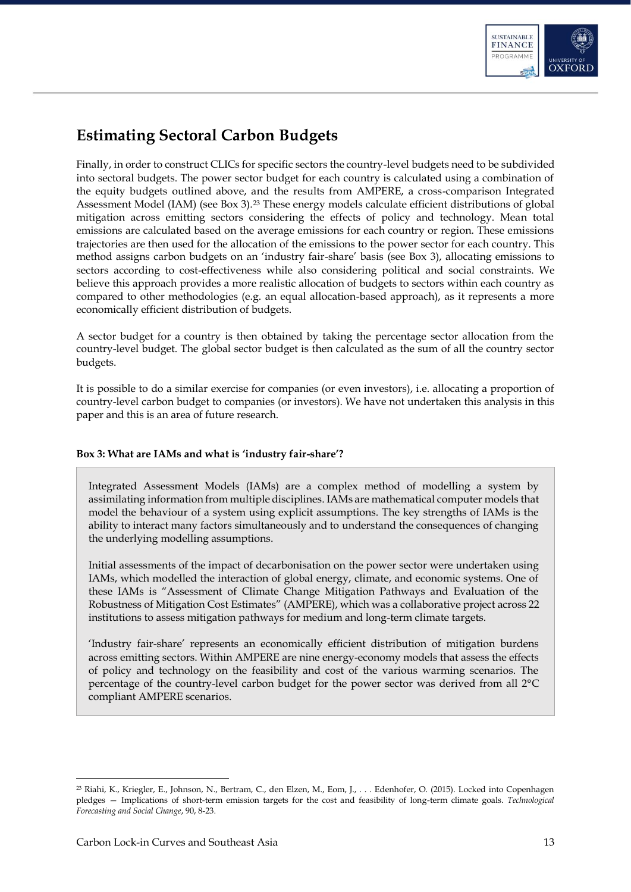

## <span id="page-13-0"></span>**Estimating Sectoral Carbon Budgets**

Finally, in order to construct CLICs for specific sectors the country-level budgets need to be subdivided into sectoral budgets. The power sector budget for each country is calculated using a combination of the equity budgets outlined above, and the results from AMPERE, a cross-comparison Integrated Assessment Model (IAM) (see Box 3).<sup>23</sup> These energy models calculate efficient distributions of global mitigation across emitting sectors considering the effects of policy and technology. Mean total emissions are calculated based on the average emissions for each country or region. These emissions trajectories are then used for the allocation of the emissions to the power sector for each country. This method assigns carbon budgets on an 'industry fair-share' basis (see Box 3), allocating emissions to sectors according to cost-effectiveness while also considering political and social constraints. We believe this approach provides a more realistic allocation of budgets to sectors within each country as compared to other methodologies (e.g. an equal allocation-based approach), as it represents a more economically efficient distribution of budgets.

A sector budget for a country is then obtained by taking the percentage sector allocation from the country-level budget. The global sector budget is then calculated as the sum of all the country sector budgets.

It is possible to do a similar exercise for companies (or even investors), i.e. allocating a proportion of country-level carbon budget to companies (or investors). We have not undertaken this analysis in this paper and this is an area of future research.

### **Box 3: What are IAMs and what is 'industry fair-share'?**

Integrated Assessment Models (IAMs) are a complex method of modelling a system by assimilating information from multiple disciplines. IAMs are mathematical computer models that model the behaviour of a system using explicit assumptions. The key strengths of IAMs is the ability to interact many factors simultaneously and to understand the consequences of changing the underlying modelling assumptions.

Initial assessments of the impact of decarbonisation on the power sector were undertaken using IAMs, which modelled the interaction of global energy, climate, and economic systems. One of these IAMs is "Assessment of Climate Change Mitigation Pathways and Evaluation of the Robustness of Mitigation Cost Estimates" (AMPERE), which was a collaborative project across 22 institutions to assess mitigation pathways for medium and long-term climate targets.

'Industry fair-share' represents an economically efficient distribution of mitigation burdens across emitting sectors. Within AMPERE are nine energy-economy models that assess the effects of policy and technology on the feasibility and cost of the various warming scenarios. The percentage of the country-level carbon budget for the power sector was derived from all 2°C compliant AMPERE scenarios.

-

<sup>23</sup> Riahi, K., Kriegler, E., Johnson, N., Bertram, C., den Elzen, M., Eom, J., . . . Edenhofer, O. (2015). Locked into Copenhagen pledges — Implications of short-term emission targets for the cost and feasibility of long-term climate goals. *Technological Forecasting and Social Change*, 90, 8-23.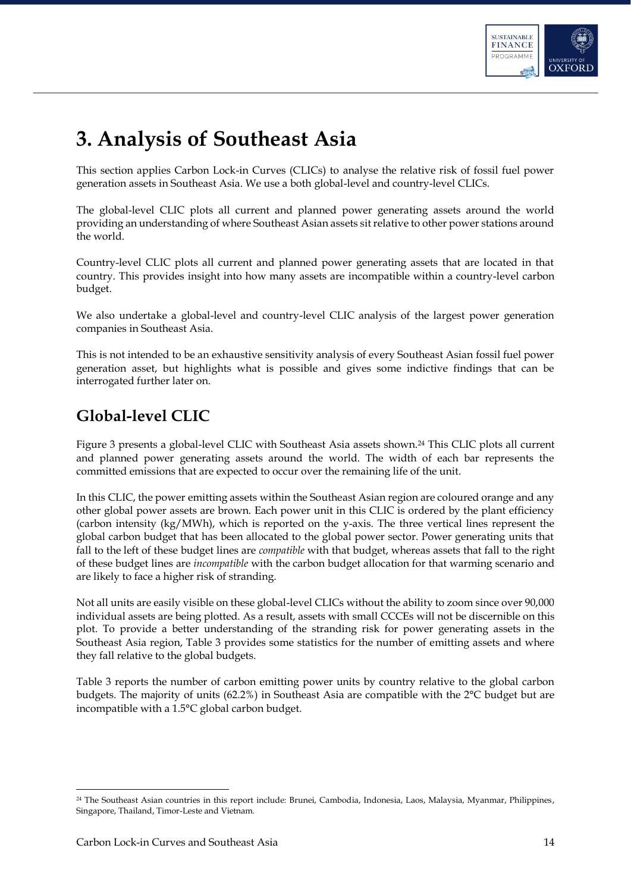

# <span id="page-14-0"></span>**3. Analysis of Southeast Asia**

This section applies Carbon Lock-in Curves (CLICs) to analyse the relative risk of fossil fuel power generation assets in Southeast Asia. We use a both global-level and country-level CLICs.

The global-level CLIC plots all current and planned power generating assets around the world providing an understanding of where Southeast Asian assets sit relative to other power stations around the world.

Country-level CLIC plots all current and planned power generating assets that are located in that country. This provides insight into how many assets are incompatible within a country-level carbon budget.

We also undertake a global-level and country-level CLIC analysis of the largest power generation companies in Southeast Asia.

This is not intended to be an exhaustive sensitivity analysis of every Southeast Asian fossil fuel power generation asset, but highlights what is possible and gives some indictive findings that can be interrogated further later on.

## <span id="page-14-1"></span>**Global-level CLIC**

Figure 3 presents a global-level CLIC with Southeast Asia assets shown.<sup>24</sup> This CLIC plots all current and planned power generating assets around the world. The width of each bar represents the committed emissions that are expected to occur over the remaining life of the unit.

In this CLIC, the power emitting assets within the Southeast Asian region are coloured orange and any other global power assets are brown. Each power unit in this CLIC is ordered by the plant efficiency (carbon intensity (kg/MWh), which is reported on the y-axis. The three vertical lines represent the global carbon budget that has been allocated to the global power sector. Power generating units that fall to the left of these budget lines are *compatible* with that budget, whereas assets that fall to the right of these budget lines are *incompatible* with the carbon budget allocation for that warming scenario and are likely to face a higher risk of stranding.

Not all units are easily visible on these global-level CLICs without the ability to zoom since over 90,000 individual assets are being plotted. As a result, assets with small CCCEs will not be discernible on this plot. To provide a better understanding of the stranding risk for power generating assets in the Southeast Asia region, Table 3 provides some statistics for the number of emitting assets and where they fall relative to the global budgets.

Table 3 reports the number of carbon emitting power units by country relative to the global carbon budgets. The majority of units (62.2%) in Southeast Asia are compatible with the 2°C budget but are incompatible with a 1.5°C global carbon budget.

<sup>24</sup> The Southeast Asian countries in this report include: Brunei, Cambodia, Indonesia, Laos, Malaysia, Myanmar, Philippines, Singapore, Thailand, Timor-Leste and Vietnam.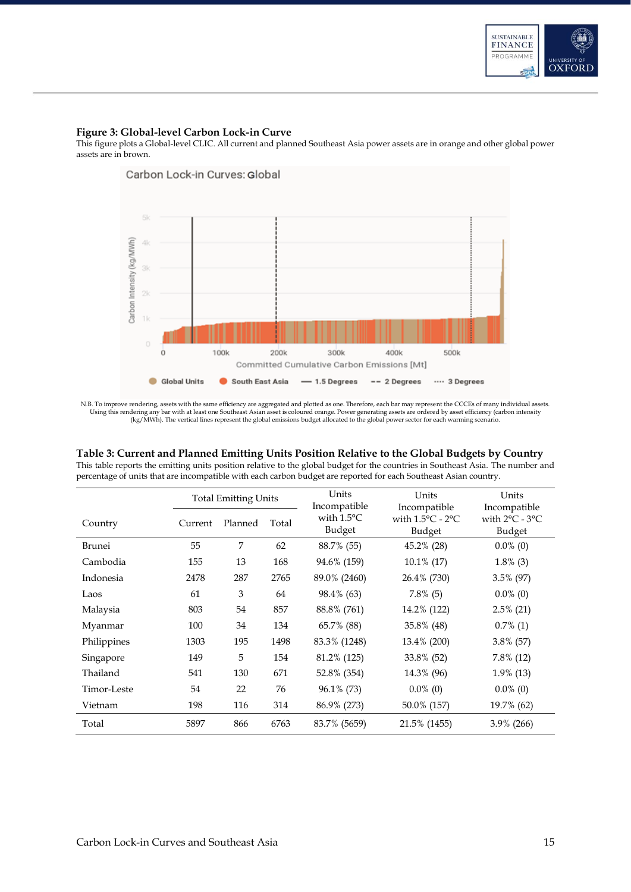

#### **Figure 3: Global-level Carbon Lock-in Curve**

This figure plots a Global-level CLIC. All current and planned Southeast Asia power assets are in orange and other global power assets are in brown.



N.B. To improve rendering, assets with the same efficiency are aggregated and plotted as one. Therefore, each bar may represent the CCCEs of many individual assets.<br>Using this rendering any bar with at least one Southeast

### **Table 3: Current and Planned Emitting Units Position Relative to the Global Budgets by Country**

This table reports the emitting units position relative to the global budget for the countries in Southeast Asia. The number and percentage of units that are incompatible with each carbon budget are reported for each Southeast Asian country.

|             | <b>Total Emitting Units</b> |         |       | Units<br>Incompatible          | Units<br>Incompatible                          | Units<br>Incompatible                        |
|-------------|-----------------------------|---------|-------|--------------------------------|------------------------------------------------|----------------------------------------------|
| Country     | Current                     | Planned | Total | with $1.5^{\circ}$ C<br>Budget | with $1.5^{\circ}$ C - $2^{\circ}$ C<br>Budget | with $2^{\circ}$ C - $3^{\circ}$ C<br>Budget |
| Brunei      | 55                          | 7       | 62    | 88.7% (55)                     | 45.2% (28)                                     | $0.0\%$ (0)                                  |
| Cambodia    | 155                         | 13      | 168   | 94.6% (159)                    | $10.1\%$ (17)                                  | $1.8\%$ (3)                                  |
| Indonesia   | 2478                        | 287     | 2765  | 89.0% (2460)                   | 26.4% (730)                                    | 3.5% (97)                                    |
| Laos        | 61                          | 3       | 64    | 98.4% (63)                     | $7.8\%$ (5)                                    | $0.0\%$ (0)                                  |
| Malaysia    | 803                         | 54      | 857   | 88.8% (761)                    | 14.2% (122)                                    | $2.5\%$ (21)                                 |
| Myanmar     | 100                         | 34      | 134   | 65.7% (88)                     | 35.8% (48)                                     | $0.7\%$ (1)                                  |
| Philippines | 1303                        | 195     | 1498  | 83.3% (1248)                   | 13.4% (200)                                    | 3.8% (57)                                    |
| Singapore   | 149                         | 5       | 154   | 81.2% (125)                    | 33.8% (52)                                     | 7.8% (12)                                    |
| Thailand    | 541                         | 130     | 671   | 52.8% (354)                    | 14.3% (96)                                     | 1.9% (13)                                    |
| Timor-Leste | 54                          | 22      | 76    | 96.1% (73)                     | $0.0\%$ (0)                                    | $0.0\%$ (0)                                  |
| Vietnam     | 198                         | 116     | 314   | 86.9% (273)                    | 50.0% (157)                                    | 19.7% (62)                                   |
| Total       | 5897                        | 866     | 6763  | 83.7% (5659)                   | 21.5% (1455)                                   | $3.9\%$ (266)                                |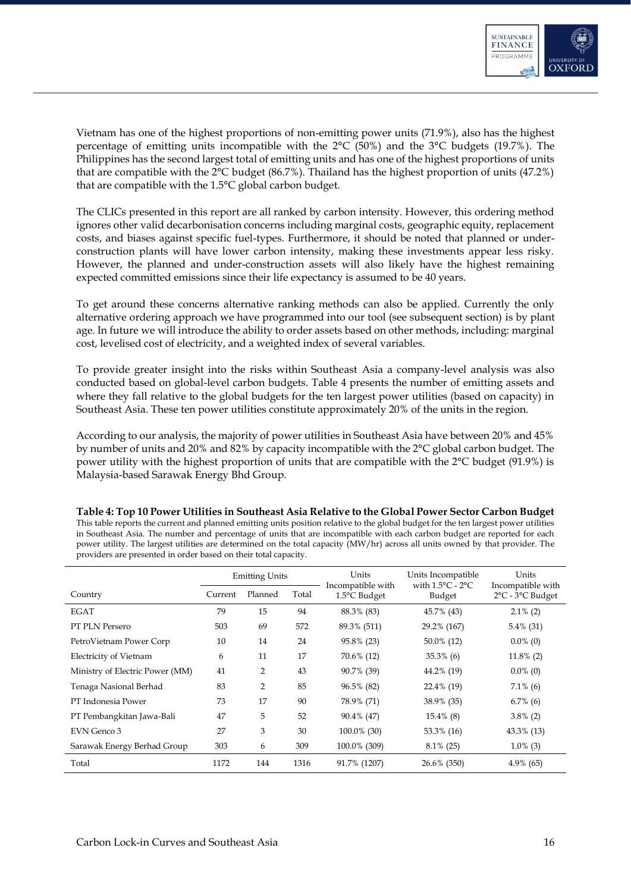

Vietnam has one of the highest proportions of non-emitting power units (71.9%), also has the highest percentage of emitting units incompatible with the 2°C (50%) and the 3°C budgets (19.7%). The Philippines has the second largest total of emitting units and has one of the highest proportions of units that are compatible with the 2°C budget (86.7%). Thailand has the highest proportion of units (47.2%) that are compatible with the 1.5°C global carbon budget.

The CLICs presented in this report are all ranked by carbon intensity. However, this ordering method ignores other valid decarbonisation concerns including marginal costs, geographic equity, replacement costs, and biases against specific fuel-types. Furthermore, it should be noted that planned or underconstruction plants will have lower carbon intensity, making these investments appear less risky. However, the planned and under-construction assets will also likely have the highest remaining expected committed emissions since their life expectancy is assumed to be 40 years.

To get around these concerns alternative ranking methods can also be applied. Currently the only alternative ordering approach we have programmed into our tool (see subsequent section) is by plant age. In future we will introduce the ability to order assets based on other methods, including: marginal cost, levelised cost of electricity, and a weighted index of several variables.

To provide greater insight into the risks within Southeast Asia a company-level analysis was also conducted based on global-level carbon budgets. Table 4 presents the number of emitting assets and where they fall relative to the global budgets for the ten largest power utilities (based on capacity) in Southeast Asia. These ten power utilities constitute approximately 20% of the units in the region.

According to our analysis, the majority of power utilities in Southeast Asia have between 20% and 45% by number of units and 20% and 82% by capacity incompatible with the 2°C global carbon budget. The power utility with the highest proportion of units that are compatible with the 2°C budget (91.9%) is Malaysia-based Sarawak Energy Bhd Group.

|                                 | <b>Emitting Units</b> |                |       | Units<br>Incompatible with | Units Incompatible<br>with $1.5^{\circ}$ C - $2^{\circ}$ C | Units<br>Incompatible with |
|---------------------------------|-----------------------|----------------|-------|----------------------------|------------------------------------------------------------|----------------------------|
| Country                         | Current               | Planned        | Total | 1.5°C Budget               | Budget                                                     | 2°C - 3°C Budget           |
| EGAT                            | 79                    | 15             | 94    | 88.3% (83)                 | 45.7% (43)                                                 | $2.1\%$ (2)                |
| PT PLN Persero                  | 503                   | 69             | 572   | 89.3% (511)                | 29.2% (167)                                                | $5.4\%$ (31)               |
| PetroVietnam Power Corp         | 10                    | 14             | 24    | 95.8% (23)                 | $50.0\%$ (12)                                              | $0.0\%$ (0)                |
| Electricity of Vietnam          | 6                     | 11             | 17    | 70.6% (12)                 | $35.3\%$ (6)                                               | $11.8\%$ (2)               |
| Ministry of Electric Power (MM) | 41                    | $\overline{2}$ | 43    | 90.7% (39)                 | 44.2% (19)                                                 | $0.0\%$ (0)                |
| Tenaga Nasional Berhad          | 83                    | $\overline{2}$ | 85    | 96.5% (82)                 | 22.4% (19)                                                 | $7.1\%$ (6)                |
| PT Indonesia Power              | 73                    | 17             | 90    | 78.9% (71)                 | 38.9% (35)                                                 | $6.7\%$ (6)                |
| PT Pembangkitan Jawa-Bali       | 47                    | 5              | 52    | 90.4% (47)                 | $15.4\%$ (8)                                               | $3.8\%$ (2)                |
| EVN Genco 3                     | 27                    | 3              | 30    | 100.0% (30)                | 53.3% (16)                                                 | 43.3% (13)                 |
| Sarawak Energy Berhad Group     | 303                   | 6              | 309   | 100.0% (309)               | $8.1\%$ (25)                                               | $1.0\%$ (3)                |
| Total                           | 1172                  | 144            | 1316  | 91.7% (1207)               | $26.6\%$ (350)                                             | $4.9\%$ (65)               |

**Table 4: Top 10 Power Utilities in Southeast Asia Relative to the Global Power Sector Carbon Budget**  This table reports the current and planned emitting units position relative to the global budget for the ten largest power utilities in Southeast Asia. The number and percentage of units that are incompatible with each carbon budget are reported for each power utility. The largest utilities are determined on the total capacity (MW/hr) across all units owned by that provider. The providers are presented in order based on their total capacity.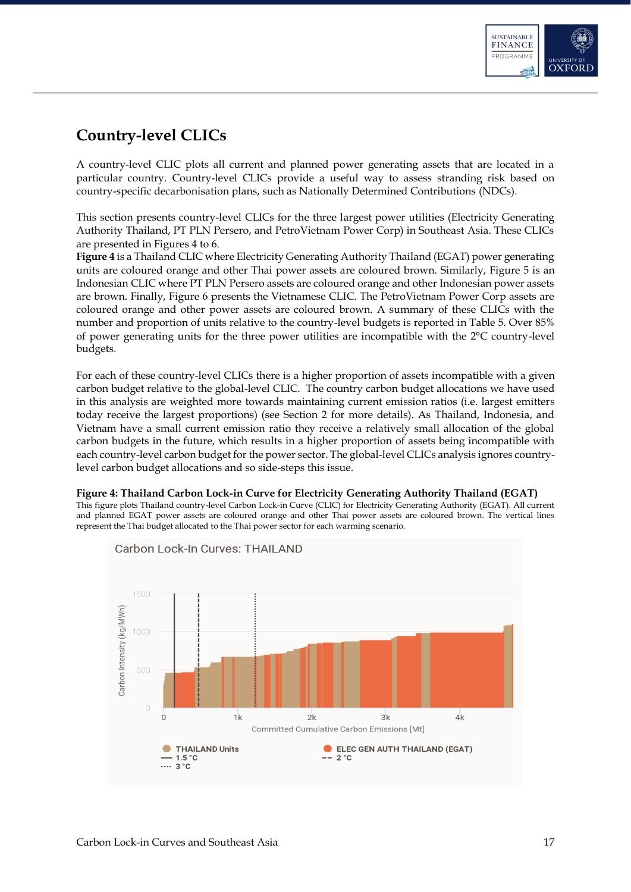

## <span id="page-17-0"></span>**Country-level CLICs**

A country-level CLIC plots all current and planned power generating assets that are located in a particular country. Country-level CLICs provide a useful way to assess stranding risk based on country-specific decarbonisation plans, such as Nationally Determined Contributions (NDCs).

This section presents country-level CLICs for the three largest power utilities (Electricity Generating Authority Thailand, PT PLN Persero, and PetroVietnam Power Corp) in Southeast Asia. These CLICs are presented in Figures 4 to 6.

**[Figure 4](#page-17-1)** is a Thailand CLIC where Electricity Generating Authority Thailand (EGAT) power generating units are coloured orange and other Thai power assets are coloured brown. Similarly, [Figure 5](#page-18-0) is an Indonesian CLIC where PT PLN Persero assets are coloured orange and other Indonesian power assets are brown. Finally, Figure 6 presents the Vietnamese CLIC. The PetroVietnam Power Corp assets are coloured orange and other power assets are coloured brown. A summary of these CLICs with the number and proportion of units relative to the country-level budgets is reported in Table 5. Over 85% of power generating units for the three power utilities are incompatible with the 2°C country-level budgets.

For each of these country-level CLICs there is a higher proportion of assets incompatible with a given carbon budget relative to the global-level CLIC. The country carbon budget allocations we have used in this analysis are weighted more towards maintaining current emission ratios (i.e. largest emitters today receive the largest proportions) (see Section 2 for more details). As Thailand, Indonesia, and Vietnam have a small current emission ratio they receive a relatively small allocation of the global carbon budgets in the future, which results in a higher proportion of assets being incompatible with each country-level carbon budget for the power sector. The global-level CLICs analysis ignores countrylevel carbon budget allocations and so side-steps this issue.

### <span id="page-17-1"></span>**Figure 4: Thailand Carbon Lock-in Curve for Electricity Generating Authority Thailand (EGAT)**

This figure plots Thailand country-level Carbon Lock-in Curve (CLIC) for Electricity Generating Authority (EGAT). All current and planned EGAT power assets are coloured orange and other Thai power assets are coloured brown. The vertical lines represent the Thai budget allocated to the Thai power sector for each warming scenario.



Carbon Lock-In Curves: THAILAND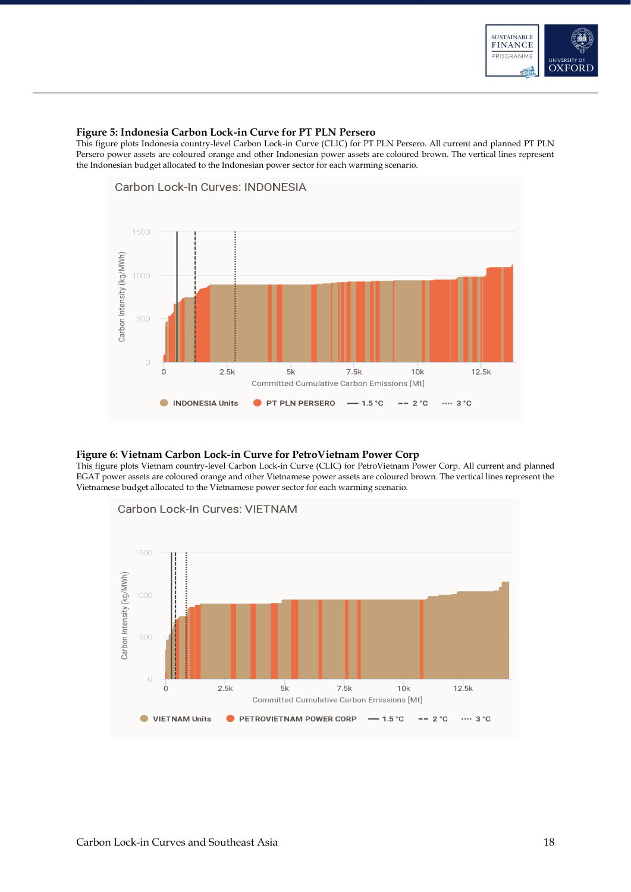

#### <span id="page-18-0"></span>**Figure 5: Indonesia Carbon Lock-in Curve for PT PLN Persero**

This figure plots Indonesia country-level Carbon Lock-in Curve (CLIC) for PT PLN Persero. All current and planned PT PLN Persero power assets are coloured orange and other Indonesian power assets are coloured brown. The vertical lines represent the Indonesian budget allocated to the Indonesian power sector for each warming scenario.



#### **Figure 6: Vietnam Carbon Lock-in Curve for PetroVietnam Power Corp**

This figure plots Vietnam country-level Carbon Lock-in Curve (CLIC) for PetroVietnam Power Corp. All current and planned EGAT power assets are coloured orange and other Vietnamese power assets are coloured brown. The vertical lines represent the Vietnamese budget allocated to the Vietnamese power sector for each warming scenario.

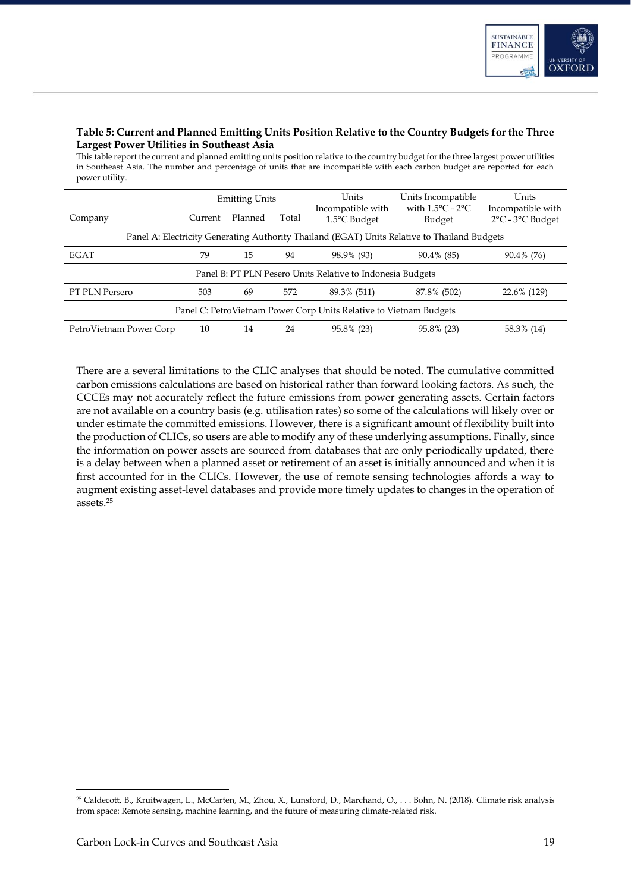

### **Table 5: Current and Planned Emitting Units Position Relative to the Country Budgets for the Three Largest Power Utilities in Southeast Asia**

This table report the current and planned emitting units position relative to the country budget for the three largest power utilities in Southeast Asia. The number and percentage of units that are incompatible with each carbon budget are reported for each power utility.

|                                                                                              | <b>Emitting Units</b> |                  |     | Units<br>Incompatible with | Units Incompatible<br>with $1.5^{\circ}$ C - $2^{\circ}$ C | Units<br>Incompatible with |  |  |  |
|----------------------------------------------------------------------------------------------|-----------------------|------------------|-----|----------------------------|------------------------------------------------------------|----------------------------|--|--|--|
| Company                                                                                      | Current               | Planned<br>Total |     | 1.5°C Budget               | Budget                                                     | 2°C - 3°C Budget           |  |  |  |
| Panel A: Electricity Generating Authority Thailand (EGAT) Units Relative to Thailand Budgets |                       |                  |     |                            |                                                            |                            |  |  |  |
| <b>EGAT</b>                                                                                  | 79                    | 15               | 94  | 98.9% (93)                 | 90.4% (85)                                                 | 90.4% (76)                 |  |  |  |
| Panel B: PT PLN Pesero Units Relative to Indonesia Budgets                                   |                       |                  |     |                            |                                                            |                            |  |  |  |
| <b>PT PLN Persero</b>                                                                        | 503                   | 69               | 572 | 89.3% (511)                | 87.8% (502)                                                | 22.6% (129)                |  |  |  |
| Panel C: Petro Vietnam Power Corp Units Relative to Vietnam Budgets                          |                       |                  |     |                            |                                                            |                            |  |  |  |
| PetroVietnam Power Corp                                                                      | 10                    | 14               | 24  | 95.8% (23)                 | 95.8% (23)                                                 | 58.3% (14)                 |  |  |  |

There are a several limitations to the CLIC analyses that should be noted. The cumulative committed carbon emissions calculations are based on historical rather than forward looking factors. As such, the CCCEs may not accurately reflect the future emissions from power generating assets. Certain factors are not available on a country basis (e.g. utilisation rates) so some of the calculations will likely over or under estimate the committed emissions. However, there is a significant amount of flexibility built into the production of CLICs, so users are able to modify any of these underlying assumptions. Finally, since the information on power assets are sourced from databases that are only periodically updated, there is a delay between when a planned asset or retirement of an asset is initially announced and when it is first accounted for in the CLICs. However, the use of remote sensing technologies affords a way to augment existing asset-level databases and provide more timely updates to changes in the operation of assets. 25

<sup>25</sup> Caldecott, B., Kruitwagen, L., McCarten, M., Zhou, X., Lunsford, D., Marchand, O., . . . Bohn, N. (2018). Climate risk analysis from space: Remote sensing, machine learning, and the future of measuring climate-related risk.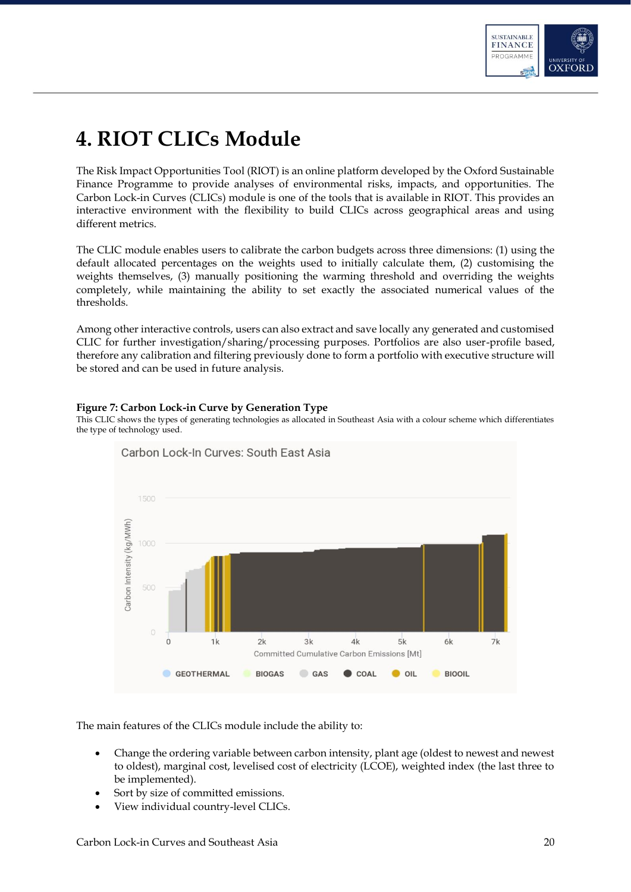

# <span id="page-20-0"></span>**4. RIOT CLICs Module**

The Risk Impact Opportunities Tool (RIOT) is an online platform developed by the Oxford Sustainable Finance Programme to provide analyses of environmental risks, impacts, and opportunities. The Carbon Lock-in Curves (CLICs) module is one of the tools that is available in RIOT. This provides an interactive environment with the flexibility to build CLICs across geographical areas and using different metrics.

The CLIC module enables users to calibrate the carbon budgets across three dimensions: (1) using the default allocated percentages on the weights used to initially calculate them, (2) customising the weights themselves, (3) manually positioning the warming threshold and overriding the weights completely, while maintaining the ability to set exactly the associated numerical values of the thresholds.

Among other interactive controls, users can also extract and save locally any generated and customised CLIC for further investigation/sharing/processing purposes. Portfolios are also user-profile based, therefore any calibration and filtering previously done to form a portfolio with executive structure will be stored and can be used in future analysis.

### **Figure 7: Carbon Lock-in Curve by Generation Type**

This CLIC shows the types of generating technologies as allocated in Southeast Asia with a colour scheme which differentiates the type of technology used.



The main features of the CLICs module include the ability to:

- Change the ordering variable between carbon intensity, plant age (oldest to newest and newest to oldest), marginal cost, levelised cost of electricity (LCOE), weighted index (the last three to be implemented).
- Sort by size of committed emissions.
- View individual country-level CLICs.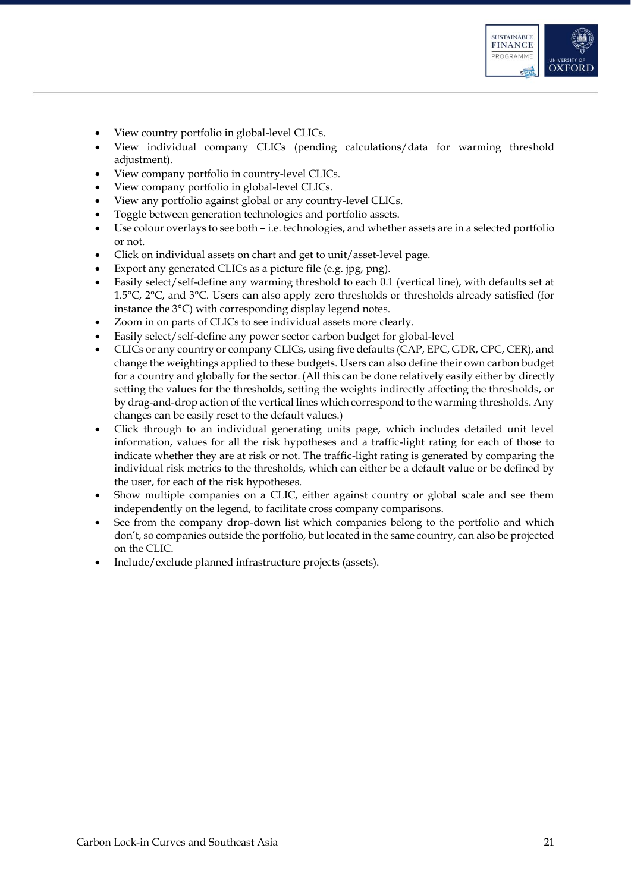

- View country portfolio in global-level CLICs.
- View individual company CLICs (pending calculations/data for warming threshold adjustment).
- View company portfolio in country-level CLICs.
- View company portfolio in global-level CLICs.
- View any portfolio against global or any country-level CLICs.
- Toggle between generation technologies and portfolio assets.
- Use colour overlays to see both i.e. technologies, and whether assets are in a selected portfolio or not.
- Click on individual assets on chart and get to unit/asset-level page.
- Export any generated CLICs as a picture file (e.g. jpg, png).
- Easily select/self-define any warming threshold to each 0.1 (vertical line), with defaults set at 1.5°C, 2°C, and 3°C. Users can also apply zero thresholds or thresholds already satisfied (for instance the 3°C) with corresponding display legend notes.
- Zoom in on parts of CLICs to see individual assets more clearly.
- Easily select/self-define any power sector carbon budget for global-level
- CLICs or any country or company CLICs, using five defaults (CAP, EPC, GDR, CPC, CER), and change the weightings applied to these budgets. Users can also define their own carbon budget for a country and globally for the sector. (All this can be done relatively easily either by directly setting the values for the thresholds, setting the weights indirectly affecting the thresholds, or by drag-and-drop action of the vertical lines which correspond to the warming thresholds. Any changes can be easily reset to the default values.)
- Click through to an individual generating units page, which includes detailed unit level information, values for all the risk hypotheses and a traffic-light rating for each of those to indicate whether they are at risk or not. The traffic-light rating is generated by comparing the individual risk metrics to the thresholds, which can either be a default value or be defined by the user, for each of the risk hypotheses.
- Show multiple companies on a CLIC, either against country or global scale and see them independently on the legend, to facilitate cross company comparisons.
- See from the company drop-down list which companies belong to the portfolio and which don't, so companies outside the portfolio, but located in the same country, can also be projected on the CLIC.
- Include/exclude planned infrastructure projects (assets).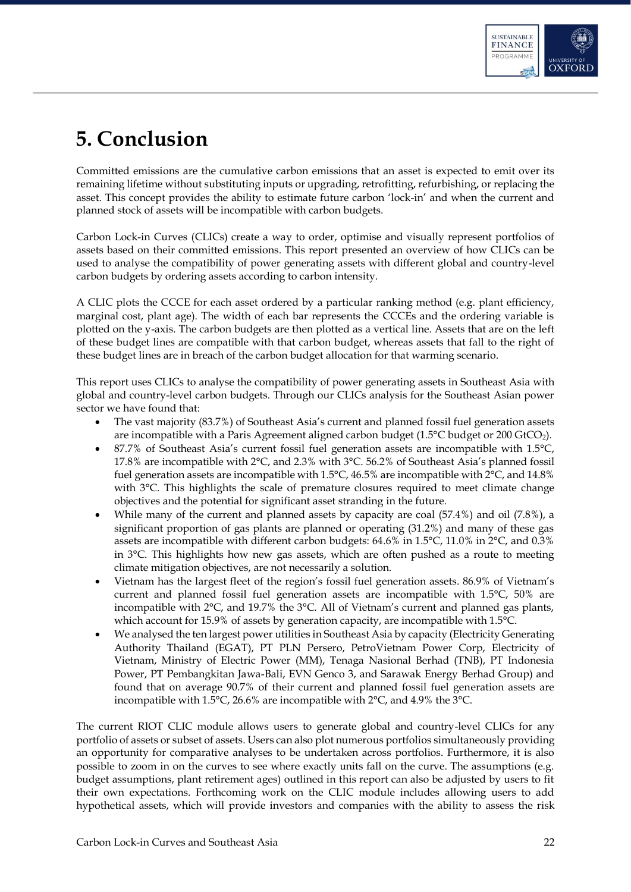

# <span id="page-22-0"></span>**5. Conclusion**

Committed emissions are the cumulative carbon emissions that an asset is expected to emit over its remaining lifetime without substituting inputs or upgrading, retrofitting, refurbishing, or replacing the asset. This concept provides the ability to estimate future carbon 'lock-in' and when the current and planned stock of assets will be incompatible with carbon budgets.

Carbon Lock-in Curves (CLICs) create a way to order, optimise and visually represent portfolios of assets based on their committed emissions. This report presented an overview of how CLICs can be used to analyse the compatibility of power generating assets with different global and country-level carbon budgets by ordering assets according to carbon intensity.

A CLIC plots the CCCE for each asset ordered by a particular ranking method (e.g. plant efficiency, marginal cost, plant age). The width of each bar represents the CCCEs and the ordering variable is plotted on the y-axis. The carbon budgets are then plotted as a vertical line. Assets that are on the left of these budget lines are compatible with that carbon budget, whereas assets that fall to the right of these budget lines are in breach of the carbon budget allocation for that warming scenario.

This report uses CLICs to analyse the compatibility of power generating assets in Southeast Asia with global and country-level carbon budgets. Through our CLICs analysis for the Southeast Asian power sector we have found that:

- The vast majority (83.7%) of Southeast Asia's current and planned fossil fuel generation assets are incompatible with a Paris Agreement aligned carbon budget (1.5°C budget or 200 GtCO2).
- 87.7% of Southeast Asia's current fossil fuel generation assets are incompatible with 1.5°C, 17.8% are incompatible with 2°C, and 2.3% with 3°C. 56.2% of Southeast Asia's planned fossil fuel generation assets are incompatible with 1.5°C, 46.5% are incompatible with 2°C, and 14.8% with 3°C. This highlights the scale of premature closures required to meet climate change objectives and the potential for significant asset stranding in the future.
- While many of the current and planned assets by capacity are coal (57.4%) and oil (7.8%), a significant proportion of gas plants are planned or operating (31.2%) and many of these gas assets are incompatible with different carbon budgets: 64.6% in 1.5°C, 11.0% in 2°C, and 0.3% in 3°C. This highlights how new gas assets, which are often pushed as a route to meeting climate mitigation objectives, are not necessarily a solution.
- Vietnam has the largest fleet of the region's fossil fuel generation assets. 86.9% of Vietnam's current and planned fossil fuel generation assets are incompatible with 1.5°C, 50% are incompatible with 2°C, and 19.7% the 3°C. All of Vietnam's current and planned gas plants, which account for 15.9% of assets by generation capacity, are incompatible with 1.5°C.
- We analysed the ten largest power utilities in Southeast Asia by capacity (Electricity Generating Authority Thailand (EGAT), PT PLN Persero, PetroVietnam Power Corp, Electricity of Vietnam, Ministry of Electric Power (MM), Tenaga Nasional Berhad (TNB), PT Indonesia Power, PT Pembangkitan Jawa-Bali, EVN Genco 3, and Sarawak Energy Berhad Group) and found that on average 90.7% of their current and planned fossil fuel generation assets are incompatible with 1.5°C, 26.6% are incompatible with 2°C, and 4.9% the 3°C.

The current RIOT CLIC module allows users to generate global and country-level CLICs for any portfolio of assets or subset of assets. Users can also plot numerous portfolios simultaneously providing an opportunity for comparative analyses to be undertaken across portfolios. Furthermore, it is also possible to zoom in on the curves to see where exactly units fall on the curve. The assumptions (e.g. budget assumptions, plant retirement ages) outlined in this report can also be adjusted by users to fit their own expectations. Forthcoming work on the CLIC module includes allowing users to add hypothetical assets, which will provide investors and companies with the ability to assess the risk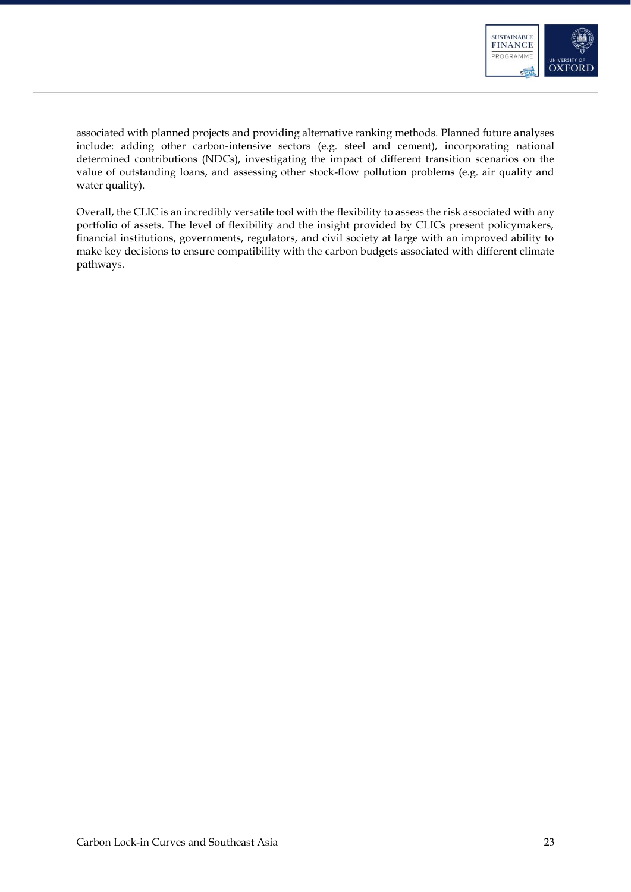

associated with planned projects and providing alternative ranking methods. Planned future analyses include: adding other carbon-intensive sectors (e.g. steel and cement), incorporating national determined contributions (NDCs), investigating the impact of different transition scenarios on the value of outstanding loans, and assessing other stock-flow pollution problems (e.g. air quality and water quality).

Overall, the CLIC is an incredibly versatile tool with the flexibility to assess the risk associated with any portfolio of assets. The level of flexibility and the insight provided by CLICs present policymakers, financial institutions, governments, regulators, and civil society at large with an improved ability to make key decisions to ensure compatibility with the carbon budgets associated with different climate pathways.